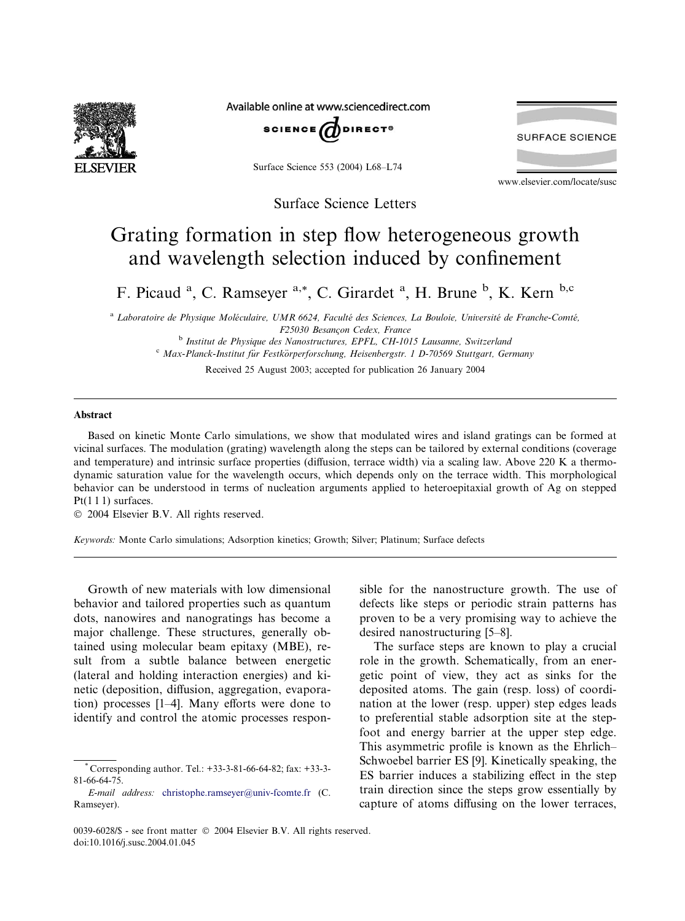

Available online at www.sciencedirect.com



Surface Science 553 (2004) L68–L74

Surface Science Letters

## Grating formation in step flow heterogeneous growth and wavelength selection induced by confinement

F. Picaud<sup>a</sup>, C. Ramseyer<sup>a,\*</sup>, C. Girardet<sup>a</sup>, H. Brune<sup>b</sup>, K. Kern<sup>b,c</sup>

<sup>a</sup> Laboratoire de Physique Moléculaire, UMR 6624, Faculté des Sciences, La Bouloie, Université de Franche-Comté, F25030 Besancon Cedex, France<br><sup>b</sup> Institut de Physique des Nanostructures, EPFL, CH-1015 Lausanne, Switzerland

c Max-Planck-Institut für Festkörperforschung, Heisenbergstr. 1 D-70569 Stuttgart, Germany

Received 25 August 2003; accepted for publication 26 January 2004

## Abstract

Based on kinetic Monte Carlo simulations, we show that modulated wires and island gratings can be formed at vicinal surfaces. The modulation (grating) wavelength along the steps can be tailored by external conditions (coverage and temperature) and intrinsic surface properties (diffusion, terrace width) via a scaling law. Above 220 K a thermodynamic saturation value for the wavelength occurs, which depends only on the terrace width. This morphological behavior can be understood in terms of nucleation arguments applied to heteroepitaxial growth of Ag on stepped Pt(111) surfaces.

2004 Elsevier B.V. All rights reserved.

Keywords: Monte Carlo simulations; Adsorption kinetics; Growth; Silver; Platinum; Surface defects

Growth of new materials with low dimensional behavior and tailored properties such as quantum dots, nanowires and nanogratings has become a major challenge. These structures, generally obtained using molecular beam epitaxy (MBE), result from a subtle balance between energetic (lateral and holding interaction energies) and kinetic (deposition, diffusion, aggregation, evaporation) processes [1–4]. Many efforts were done to identify and control the atomic processes responsible for the nanostructure growth. The use of defects like steps or periodic strain patterns has proven to be a very promising way to achieve the desired nanostructuring [5–8].

www.elsevier.com/locate/susc

**SURFACE SCIENCE** 

The surface steps are known to play a crucial role in the growth. Schematically, from an energetic point of view, they act as sinks for the deposited atoms. The gain (resp. loss) of coordination at the lower (resp. upper) step edges leads to preferential stable adsorption site at the stepfoot and energy barrier at the upper step edge. This asymmetric profile is known as the Ehrlich– Schwoebel barrier ES [9]. Kinetically speaking, the ES barrier induces a stabilizing effect in the step train direction since the steps grow essentially by capture of atoms diffusing on the lower terraces,

Corresponding author. Tel.: +33-3-81-66-64-82; fax: +33-3-81-66-64-75.

E-mail address: [christophe.ramseyer@univ-fcomte.fr](mail to: christophe.ramseyer@univ-fcomte.fr) (C. Ramseyer).

<sup>0039-6028/\$ -</sup> see front matter  $\degree$  2004 Elsevier B.V. All rights reserved. doi:10.1016/j.susc.2004.01.045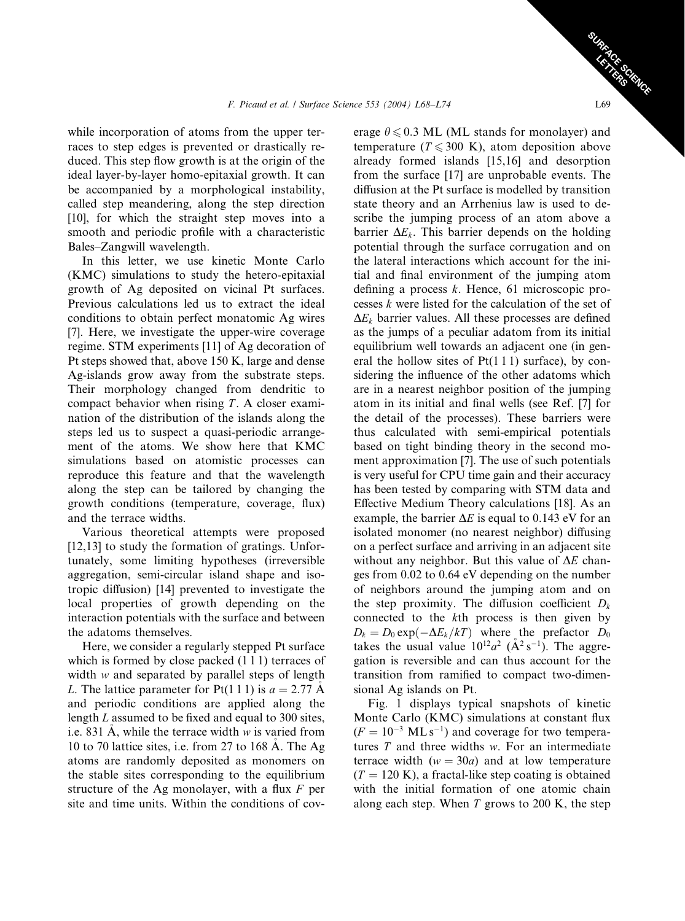while incorporation of atoms from the upper terraces to step edges is prevented or drastically reduced. This step flow growth is at the origin of the ideal layer-by-layer homo-epitaxial growth. It can be accompanied by a morphological instability, called step meandering, along the step direction [10], for which the straight step moves into a smooth and periodic profile with a characteristic Bales–Zangwill wavelength.

In this letter, we use kinetic Monte Carlo (KMC) simulations to study the hetero-epitaxial growth of Ag deposited on vicinal Pt surfaces. Previous calculations led us to extract the ideal conditions to obtain perfect monatomic Ag wires [7]. Here, we investigate the upper-wire coverage regime. STM experiments [11] of Ag decoration of Pt steps showed that, above 150 K, large and dense Ag-islands grow away from the substrate steps. Their morphology changed from dendritic to compact behavior when rising  $T$ . A closer examination of the distribution of the islands along the steps led us to suspect a quasi-periodic arrangement of the atoms. We show here that KMC simulations based on atomistic processes can reproduce this feature and that the wavelength along the step can be tailored by changing the growth conditions (temperature, coverage, flux) and the terrace widths.

Various theoretical attempts were proposed [12,13] to study the formation of gratings. Unfortunately, some limiting hypotheses (irreversible aggregation, semi-circular island shape and isotropic diffusion) [14] prevented to investigate the local properties of growth depending on the interaction potentials with the surface and between the adatoms themselves.

Here, we consider a regularly stepped Pt surface which is formed by close packed  $(1 1 1)$  terraces of width w and separated by parallel steps of length L. The lattice parameter for Pt(1 1 1) is  $a = 2.77$  A and periodic conditions are applied along the length L assumed to be fixed and equal to 300 sites, i.e. 831 A, while the terrace width  $w$  is varied from 10 to 70 lattice sites, i.e. from 27 to 168 A. The Ag atoms are randomly deposited as monomers on the stable sites corresponding to the equilibrium structure of the Ag monolayer, with a flux  $F$  per site and time units. Within the conditions of coverage  $\theta \le 0.3$  ML (ML stands for monolayer) and temperature ( $T \le 300$  K), atom deposition above already formed islands [15,16] and desorption from the surface [17] are unprobable events. The diffusion at the Pt surface is modelled by transition state theory and an Arrhenius law is used to describe the jumping process of an atom above a barrier  $\Delta E_k$ . This barrier depends on the holding potential through the surface corrugation and on the lateral interactions which account for the initial and final environment of the jumping atom defining a process  $k$ . Hence, 61 microscopic processes k were listed for the calculation of the set of  $\Delta E_k$  barrier values. All these processes are defined as the jumps of a peculiar adatom from its initial equilibrium well towards an adjacent one (in general the hollow sites of  $Pt(111)$  surface), by considering the influence of the other adatoms which are in a nearest neighbor position of the jumping atom in its initial and final wells (see Ref. [7] for the detail of the processes). These barriers were thus calculated with semi-empirical potentials based on tight binding theory in the second moment approximation [7]. The use of such potentials is very useful for CPU time gain and their accuracy has been tested by comparing with STM data and Effective Medium Theory calculations [18]. As an example, the barrier  $\Delta E$  is equal to 0.143 eV for an isolated monomer (no nearest neighbor) diffusing on a perfect surface and arriving in an adjacent site without any neighbor. But this value of  $\Delta E$  changes from 0.02 to 0.64 eV depending on the number of neighbors around the jumping atom and on the step proximity. The diffusion coefficient  $D_k$ connected to the kth process is then given by  $D_k = D_0 \exp(-\Delta E_k/kT)$  where the prefactor  $D_0$ takes the usual value  $10^{12}a^2$  ( $A^2$  s<sup>-1</sup>). The aggregation is reversible and can thus account for the transition from ramified to compact two-dimensional Ag islands on Pt.

Fig. 1 displays typical snapshots of kinetic Monte Carlo (KMC) simulations at constant flux  $(F = 10^{-3}$  ML s<sup>-1</sup>) and coverage for two temperatures  $T$  and three widths  $w$ . For an intermediate terrace width  $(w = 30a)$  and at low temperature  $(T = 120 \text{ K})$ , a fractal-like step coating is obtained with the initial formation of one atomic chain along each step. When  $T$  grows to 200 K, the step

SURFACE SCIENCE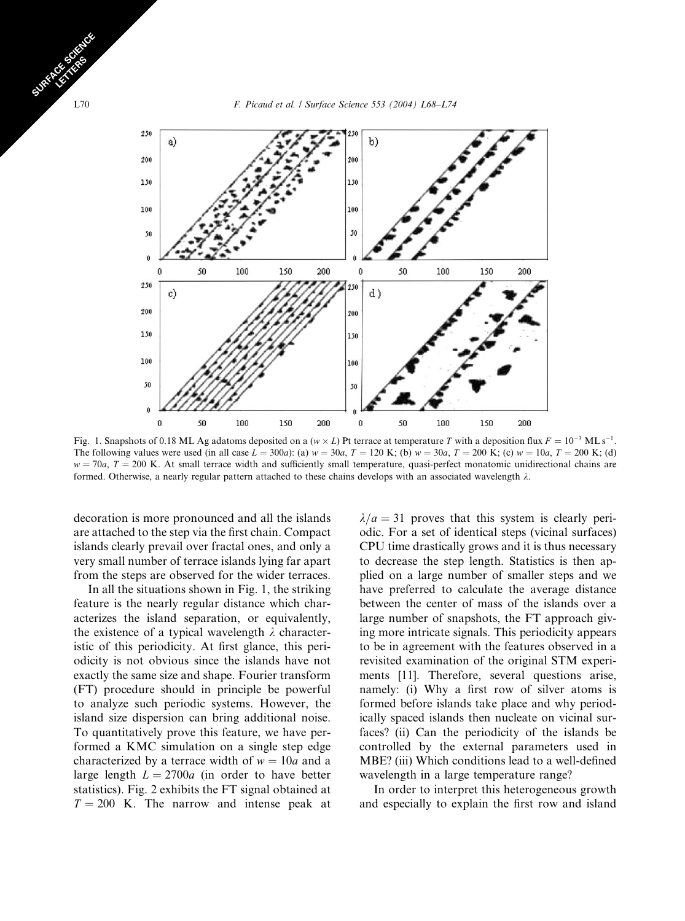L70 **F. Picaud et al. / Surface Science 553 (2004) L68–L74** 



Fig. 1. Snapshots of 0.18 ML Ag adatoms deposited on a (w  $\times$  L) Pt terrace at temperature T with a deposition flux  $F = 10^{-3}$  MLs<sup>-1</sup>. The following values were used (in all case  $L = 300a$ ): (a)  $w = 30a$ ,  $T = 120$  K; (b)  $w = 30a$ ,  $T = 200$  K; (c)  $w = 10a$ ,  $T = 200$  K; (d)  $w = 70a$ ,  $T = 200$  K. At small terrace width and sufficiently small temperature, quasi-perfect monatomic unidirectional chains are formed. Otherwise, a nearly regular pattern attached to these chains develops with an associated wavelength  $\lambda$ .

decoration is more pronounced and all the islands are attached to the step via the first chain. Compact islands clearly prevail over fractal ones, and only a very small number of terrace islands lying far apart from the steps are observed for the wider terraces.

In all the situations shown in Fig. 1, the striking feature is the nearly regular distance which characterizes the island separation, or equivalently, the existence of a typical wavelength  $\lambda$  characteristic of this periodicity. At first glance, this periodicity is not obvious since the islands have not exactly the same size and shape. Fourier transform (FT) procedure should in principle be powerful to analyze such periodic systems. However, the island size dispersion can bring additional noise. To quantitatively prove this feature, we have performed a KMC simulation on a single step edge characterized by a terrace width of  $w = 10a$  and a large length  $L = 2700a$  (in order to have better statistics). Fig. 2 exhibits the FT signal obtained at  $T = 200$  K. The narrow and intense peak at  $\lambda/a=31$  proves that this system is clearly periodic. For a set of identical steps (vicinal surfaces) CPU time drastically grows and it is thus necessary to decrease the step length. Statistics is then applied on a large number of smaller steps and we have preferred to calculate the average distance between the center of mass of the islands over a large number of snapshots, the FT approach giving more intricate signals. This periodicity appears to be in agreement with the features observed in a revisited examination of the original STM experiments [11]. Therefore, several questions arise, namely: (i) Why a first row of silver atoms is formed before islands take place and why periodically spaced islands then nucleate on vicinal surfaces? (ii) Can the periodicity of the islands be controlled by the external parameters used in MBE? (iii) Which conditions lead to a well-defined wavelength in a large temperature range?

In order to interpret this heterogeneous growth and especially to explain the first row and island

SURFACE SCIENCE CE STRES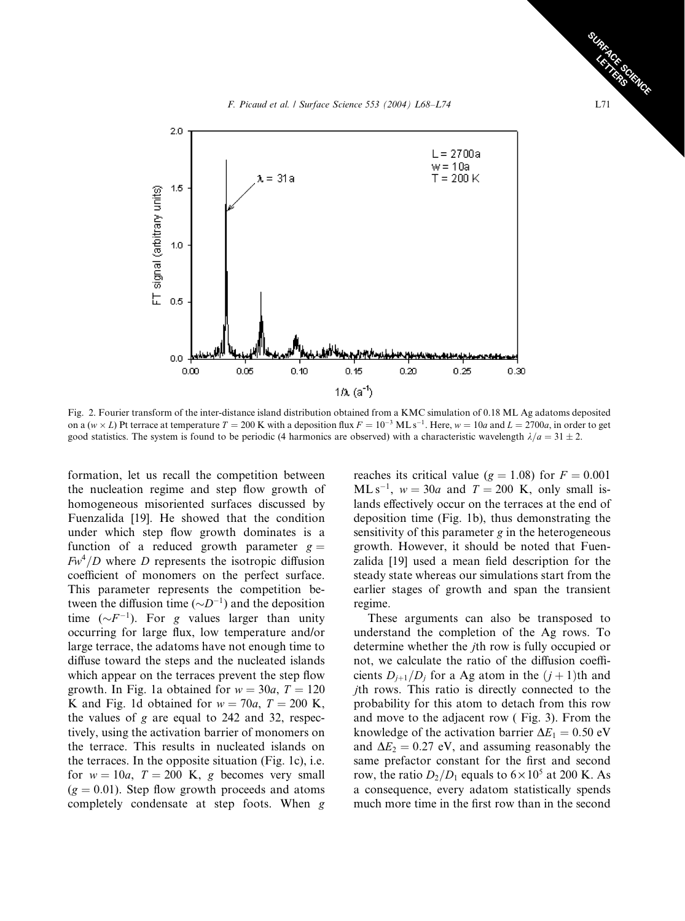



Fig. 2. Fourier transform of the inter-distance island distribution obtained from a KMC simulation of 0.18 ML Ag adatoms deposited on a (w × L) Pt terrace at temperature  $T = 200$  K with a deposition flux  $F = 10^{-3}$  ML s<sup>-1</sup>. Here, w = 10a and L = 2700a, in order to get good statistics. The system is found to be periodic (4 harmonics are observed) with a characteristic wavelength  $\lambda/a = 31 \pm 2$ .

formation, let us recall the competition between the nucleation regime and step flow growth of homogeneous misoriented surfaces discussed by Fuenzalida [19]. He showed that the condition under which step flow growth dominates is a function of a reduced growth parameter  $g =$  $Fw<sup>4</sup>/D$  where D represents the isotropic diffusion coefficient of monomers on the perfect surface. This parameter represents the competition between the diffusion time  $(\sim D^{-1})$  and the deposition time  $(\sim F^{-1})$ . For g values larger than unity occurring for large flux, low temperature and/or large terrace, the adatoms have not enough time to diffuse toward the steps and the nucleated islands which appear on the terraces prevent the step flow growth. In Fig. 1a obtained for  $w = 30a$ ,  $T = 120$ K and Fig. 1d obtained for  $w = 70a$ ,  $T = 200$  K, the values of  $g$  are equal to 242 and 32, respectively, using the activation barrier of monomers on the terrace. This results in nucleated islands on the terraces. In the opposite situation (Fig. 1c), i.e. for  $w = 10a$ ,  $T = 200$  K, g becomes very small  $(g = 0.01)$ . Step flow growth proceeds and atoms completely condensate at step foots. When g reaches its critical value ( $g = 1.08$ ) for  $F = 0.001$  $ML s^{-1}$ ,  $w = 30a$  and  $T = 200$  K, only small islands effectively occur on the terraces at the end of deposition time (Fig. 1b), thus demonstrating the sensitivity of this parameter g in the heterogeneous growth. However, it should be noted that Fuenzalida [19] used a mean field description for the steady state whereas our simulations start from the earlier stages of growth and span the transient regime.

These arguments can also be transposed to understand the completion of the Ag rows. To determine whether the jth row is fully occupied or not, we calculate the ratio of the diffusion coefficients  $D_{i+1}/D_i$  for a Ag atom in the  $(j + 1)$ th and jth rows. This ratio is directly connected to the probability for this atom to detach from this row and move to the adjacent row ( Fig. 3). From the knowledge of the activation barrier  $\Delta E_1 = 0.50$  eV and  $\Delta E_2 = 0.27$  eV, and assuming reasonably the same prefactor constant for the first and second row, the ratio  $D_2/D_1$  equals to  $6 \times 10^5$  at 200 K. As a consequence, every adatom statistically spends much more time in the first row than in the second

SURFACE SCIENCE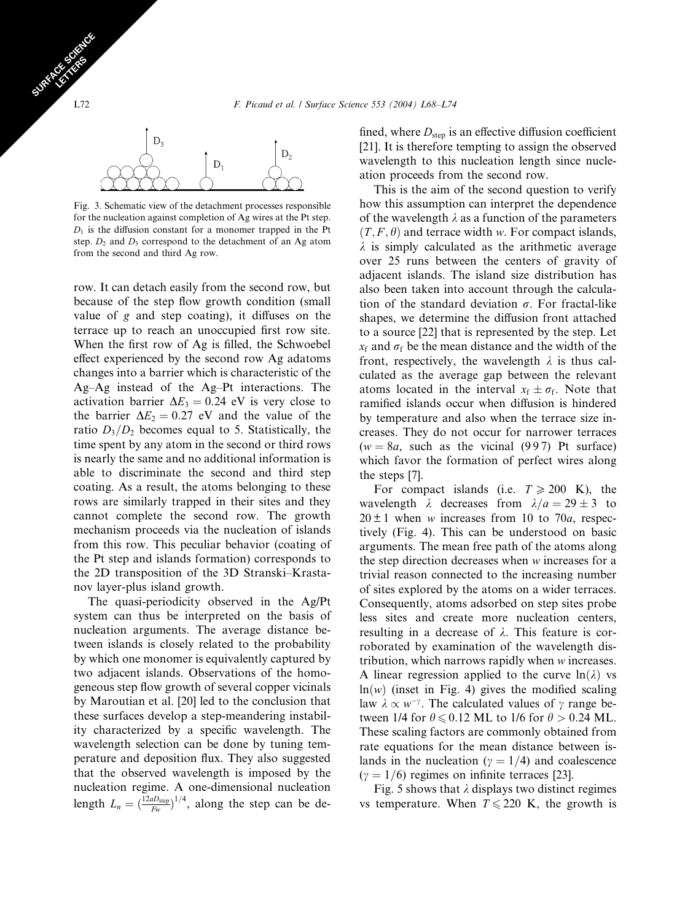

Fig. 3. Schematic view of the detachment processes responsible for the nucleation against completion of Ag wires at the Pt step.  $D_1$  is the diffusion constant for a monomer trapped in the Pt step.  $D_2$  and  $D_3$  correspond to the detachment of an Ag atom from the second and third Ag row.

row. It can detach easily from the second row, but because of the step flow growth condition (small value of g and step coating), it diffuses on the terrace up to reach an unoccupied first row site. When the first row of Ag is filled, the Schwoebel effect experienced by the second row Ag adatoms changes into a barrier which is characteristic of the Ag–Ag instead of the Ag–Pt interactions. The activation barrier  $\Delta E_3 = 0.24$  eV is very close to the barrier  $\Delta E_2 = 0.27$  eV and the value of the ratio  $D_3/D_2$  becomes equal to 5. Statistically, the time spent by any atom in the second or third rows is nearly the same and no additional information is able to discriminate the second and third step coating. As a result, the atoms belonging to these rows are similarly trapped in their sites and they cannot complete the second row. The growth mechanism proceeds via the nucleation of islands from this row. This peculiar behavior (coating of the Pt step and islands formation) corresponds to the 2D transposition of the 3D Stranski–Krastanov layer-plus island growth.

The quasi-periodicity observed in the Ag/Pt system can thus be interpreted on the basis of nucleation arguments. The average distance between islands is closely related to the probability by which one monomer is equivalently captured by two adjacent islands. Observations of the homogeneous step flow growth of several copper vicinals by Maroutian et al. [20] led to the conclusion that these surfaces develop a step-meandering instability characterized by a specific wavelength. The wavelength selection can be done by tuning temperature and deposition flux. They also suggested that the observed wavelength is imposed by the nucleation regime. A one-dimensional nucleation length  $L_n = \left(\frac{12aD_{\text{step}}}{F_W}\right)^{1/4}$ , along the step can be defined, where  $D_{\text{step}}$  is an effective diffusion coefficient [21]. It is therefore tempting to assign the observed wavelength to this nucleation length since nucleation proceeds from the second row.

This is the aim of the second question to verify how this assumption can interpret the dependence of the wavelength  $\lambda$  as a function of the parameters  $(T, F, \theta)$  and terrace width w. For compact islands,  $\lambda$  is simply calculated as the arithmetic average over 25 runs between the centers of gravity of adjacent islands. The island size distribution has also been taken into account through the calculation of the standard deviation  $\sigma$ . For fractal-like shapes, we determine the diffusion front attached to a source [22] that is represented by the step. Let  $x_f$  and  $\sigma_f$  be the mean distance and the width of the front, respectively, the wavelength  $\lambda$  is thus calculated as the average gap between the relevant atoms located in the interval  $x_f \pm \sigma_f$ . Note that ramified islands occur when diffusion is hindered by temperature and also when the terrace size increases. They do not occur for narrower terraces  $(w = 8a$ , such as the vicinal (997) Pt surface) which favor the formation of perfect wires along the steps [7].

For compact islands (i.e.  $T \ge 200$  K), the wavelength  $\lambda$  decreases from  $\lambda/a=29 \pm 3$  to  $20 \pm 1$  when w increases from 10 to 70*a*, respectively (Fig. 4). This can be understood on basic arguments. The mean free path of the atoms along the step direction decreases when w increases for a trivial reason connected to the increasing number of sites explored by the atoms on a wider terraces. Consequently, atoms adsorbed on step sites probe less sites and create more nucleation centers, resulting in a decrease of  $\lambda$ . This feature is corroborated by examination of the wavelength distribution, which narrows rapidly when w increases. A linear regression applied to the curve  $ln(\lambda)$  vs  $ln(w)$  (inset in Fig. 4) gives the modified scaling law  $\lambda \propto w^{-\gamma}$ . The calculated values of  $\gamma$  range between 1/4 for  $\theta \le 0.12$  ML to 1/6 for  $\theta > 0.24$  ML. These scaling factors are commonly obtained from rate equations for the mean distance between islands in the nucleation ( $\gamma = 1/4$ ) and coalescence  $(\gamma = 1/6)$  regimes on infinite terraces [23].

Fig. 5 shows that  $\lambda$  displays two distinct regimes vs temperature. When  $T \le 220$  K, the growth is

SURFACE SCIENCE CE STRES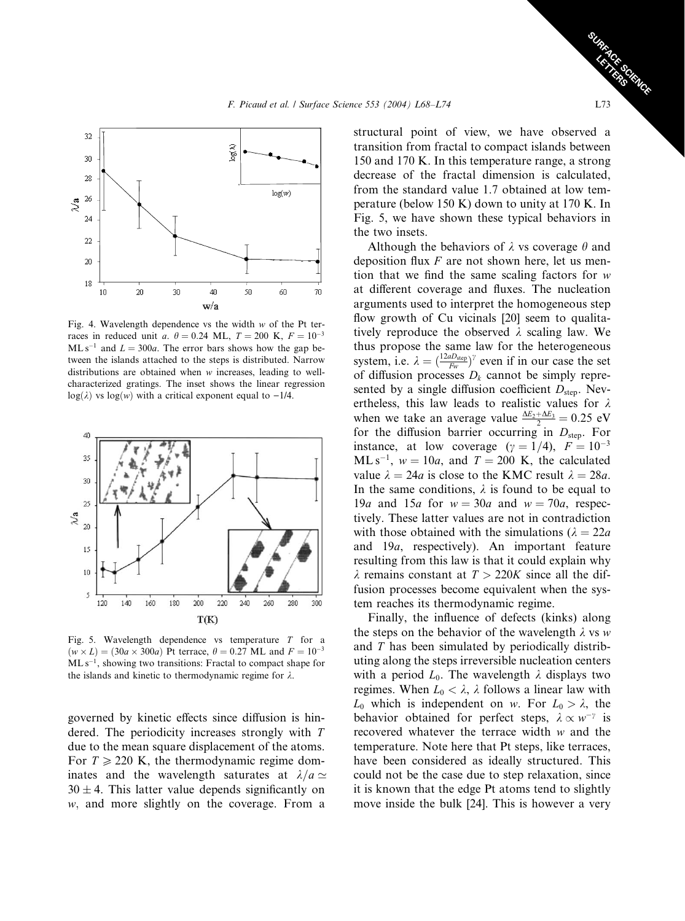

Fig. 4. Wavelength dependence vs the width  $w$  of the Pt terraces in reduced unit a.  $\theta = 0.24$  ML,  $T = 200$  K,  $F = 10^{-3}$  $ML s^{-1}$  and  $L = 300a$ . The error bars shows how the gap between the islands attached to the steps is distributed. Narrow distributions are obtained when w increases, leading to wellcharacterized gratings. The inset shows the linear regression  $log(\lambda)$  vs  $log(w)$  with a critical exponent equal to -1/4.



Fig. 5. Wavelength dependence vs temperature T for a  $(w \times L) = (30a \times 300a)$  Pt terrace,  $\theta = 0.27$  ML and  $F = 10^{-3}$  $ML s^{-1}$ , showing two transitions: Fractal to compact shape for the islands and kinetic to thermodynamic regime for  $\lambda$ .

governed by kinetic effects since diffusion is hindered. The periodicity increases strongly with T due to the mean square displacement of the atoms. For  $T \ge 220$  K, the thermodynamic regime dominates and the wavelength saturates at  $\lambda/a \simeq$  $30 \pm 4$ . This latter value depends significantly on w, and more slightly on the coverage. From a

structural point of view, we have observed a transition from fractal to compact islands between 150 and 170 K. In this temperature range, a strong decrease of the fractal dimension is calculated, from the standard value 1.7 obtained at low temperature (below 150 K) down to unity at 170 K. In Fig. 5, we have shown these typical behaviors in the two insets.

Although the behaviors of  $\lambda$  vs coverage  $\theta$  and deposition flux  $F$  are not shown here, let us mention that we find the same scaling factors for w at different coverage and fluxes. The nucleation arguments used to interpret the homogeneous step flow growth of Cu vicinals [20] seem to qualitatively reproduce the observed  $\lambda$  scaling law. We thus propose the same law for the heterogeneous system, i.e.  $\lambda = \left(\frac{12aD_{\text{step}}}{F_w}\right)^{\gamma}$  even if in our case the set of diffusion processes  $D_k$  cannot be simply represented by a single diffusion coefficient  $D_{step}$ . Nevertheless, this law leads to realistic values for  $\lambda$ when we take an average value  $\frac{\Delta E_2 + \Delta E_3}{2} = 0.25$  eV for the diffusion barrier occurring in  $D_{\text{step}}$ . For instance, at low coverage  $(\gamma = 1/4)$ ,  $F = 10^{-3}$  $ML s^{-1}$ ,  $w = 10a$ , and  $T = 200$  K, the calculated value  $\lambda = 24a$  is close to the KMC result  $\lambda = 28a$ . In the same conditions,  $\lambda$  is found to be equal to 19a and 15a for  $w = 30a$  and  $w = 70a$ , respectively. These latter values are not in contradiction with those obtained with the simulations ( $\lambda = 22a$ and 19a, respectively). An important feature resulting from this law is that it could explain why  $\lambda$  remains constant at  $T > 220K$  since all the diffusion processes become equivalent when the system reaches its thermodynamic regime.

Finally, the influence of defects (kinks) along the steps on the behavior of the wavelength  $\lambda$  vs w and T has been simulated by periodically distributing along the steps irreversible nucleation centers with a period  $L_0$ . The wavelength  $\lambda$  displays two regimes. When  $L_0 < \lambda$ ,  $\lambda$  follows a linear law with  $L_0$  which is independent on w. For  $L_0 > \lambda$ , the behavior obtained for perfect steps,  $\lambda \propto w^{-\gamma}$  is recovered whatever the terrace width w and the temperature. Note here that Pt steps, like terraces, have been considered as ideally structured. This could not be the case due to step relaxation, since it is known that the edge Pt atoms tend to slightly move inside the bulk [24]. This is however a very

SURFACE SCIENCE